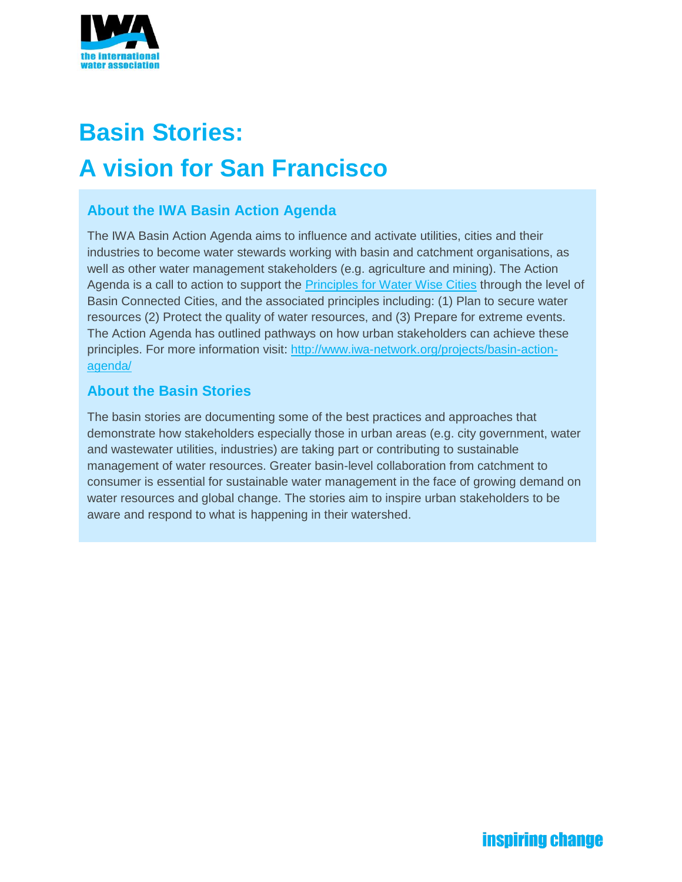

# **Basin Stories: A vision for San Francisco**

## **About the IWA Basin Action Agenda**

The IWA Basin Action Agenda aims to influence and activate utilities, cities and their industries to become water stewards working with basin and catchment organisations, as well as other water management stakeholders (e.g. agriculture and mining). The Action Agenda is a call to action to support the **[Principles for Water Wise Cities](http://www.iwa-network.org/projects/water-wise-cities/) through the level of** Basin Connected Cities, and the associated principles including: (1) Plan to secure water resources (2) Protect the quality of water resources, and (3) Prepare for extreme events. The Action Agenda has outlined pathways on how urban stakeholders can achieve these principles. For more information visit: [http://www.iwa-network.org/projects/basin-action](http://www.iwa-network.org/projects/basin-action-agenda/)[agenda/](http://www.iwa-network.org/projects/basin-action-agenda/)

### **About the Basin Stories**

The basin stories are documenting some of the best practices and approaches that demonstrate how stakeholders especially those in urban areas (e.g. city government, water and wastewater utilities, industries) are taking part or contributing to sustainable management of water resources. Greater basin-level collaboration from catchment to consumer is essential for sustainable water management in the face of growing demand on water resources and global change. The stories aim to inspire urban stakeholders to be aware and respond to what is happening in their watershed.

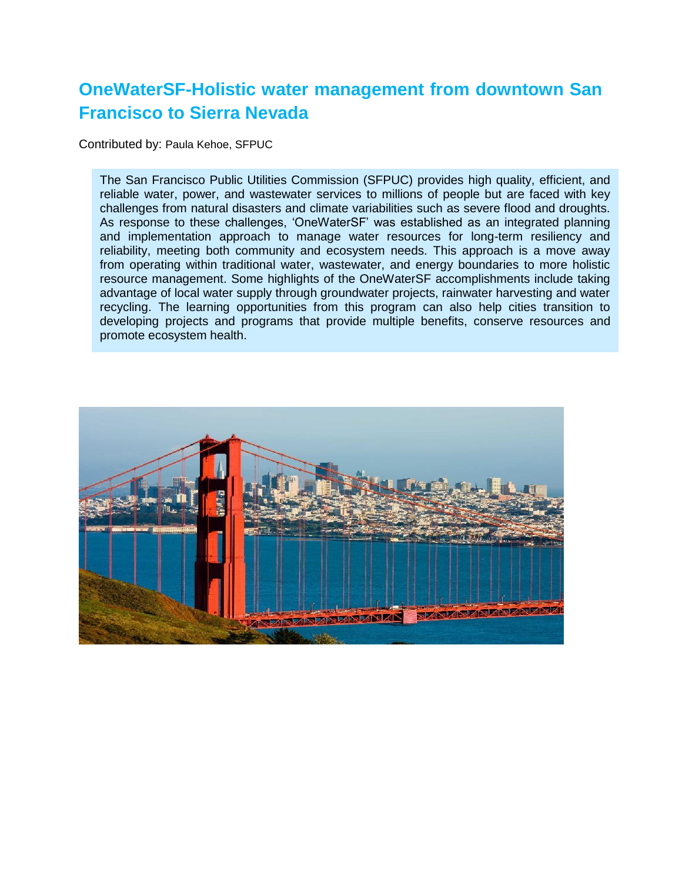# **OneWaterSF-Holistic water management from downtown San Francisco to Sierra Nevada**

Contributed by: Paula Kehoe, SFPUC

The San Francisco Public Utilities Commission (SFPUC) provides high quality, efficient, and reliable water, power, and wastewater services to millions of people but are faced with key challenges from natural disasters and climate variabilities such as severe flood and droughts. As response to these challenges, 'OneWaterSF' was established as an integrated planning and implementation approach to manage water resources for long-term resiliency and reliability, meeting both community and ecosystem needs. This approach is a move away from operating within traditional water, wastewater, and energy boundaries to more holistic resource management. Some highlights of the OneWaterSF accomplishments include taking advantage of local water supply through groundwater projects, rainwater harvesting and water recycling. The learning opportunities from this program can also help cities transition to developing projects and programs that provide multiple benefits, conserve resources and promote ecosystem health.

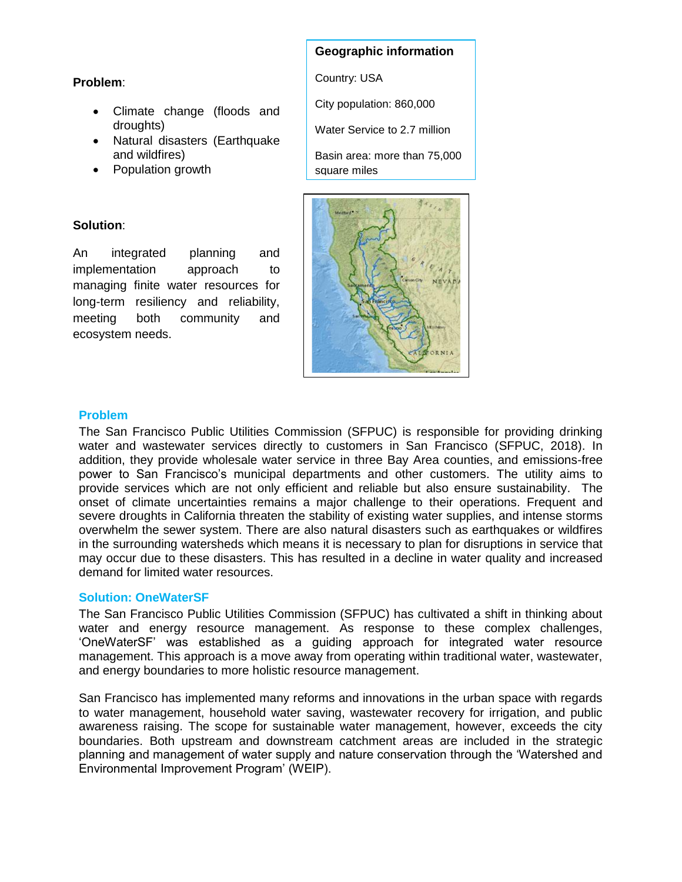#### **Problem**:

- Climate change (floods and droughts)
- Natural disasters (Earthquake and wildfires)
- Population growth

#### **Solution**:

An integrated planning and implementation approach to managing finite water resources for long-term resiliency and reliability, meeting both community and ecosystem needs.

#### **Geographic information**

Country: USA

City population: 860,000

Water Service to 2.7 million

Basin area: more than 75,000 square miles



#### **Problem**

The San Francisco Public Utilities Commission (SFPUC) is responsible for providing drinking water and wastewater services directly to customers in San Francisco (SFPUC, 2018). In addition, they provide wholesale water service in three Bay Area counties, and emissions-free power to San Francisco's municipal departments and other customers. The utility aims to provide services which are not only efficient and reliable but also ensure sustainability. The onset of climate uncertainties remains a major challenge to their operations. Frequent and severe droughts in California threaten the stability of existing water supplies, and intense storms overwhelm the sewer system. There are also natural disasters such as earthquakes or wildfires in the surrounding watersheds which means it is necessary to plan for disruptions in service that may occur due to these disasters. This has resulted in a decline in water quality and increased demand for limited water resources.

#### **Solution: OneWaterSF**

The San Francisco Public Utilities Commission (SFPUC) has cultivated a shift in thinking about water and energy resource management. As response to these complex challenges, 'OneWaterSF' was established as a guiding approach for integrated water resource management. This approach is a move away from operating within traditional water, wastewater, and energy boundaries to more holistic resource management.

San Francisco has implemented many reforms and innovations in the urban space with regards to water management, household water saving, wastewater recovery for irrigation, and public awareness raising. The scope for sustainable water management, however, exceeds the city boundaries. Both upstream and downstream catchment areas are included in the strategic planning and management of water supply and nature conservation through the 'Watershed and Environmental Improvement Program' (WEIP).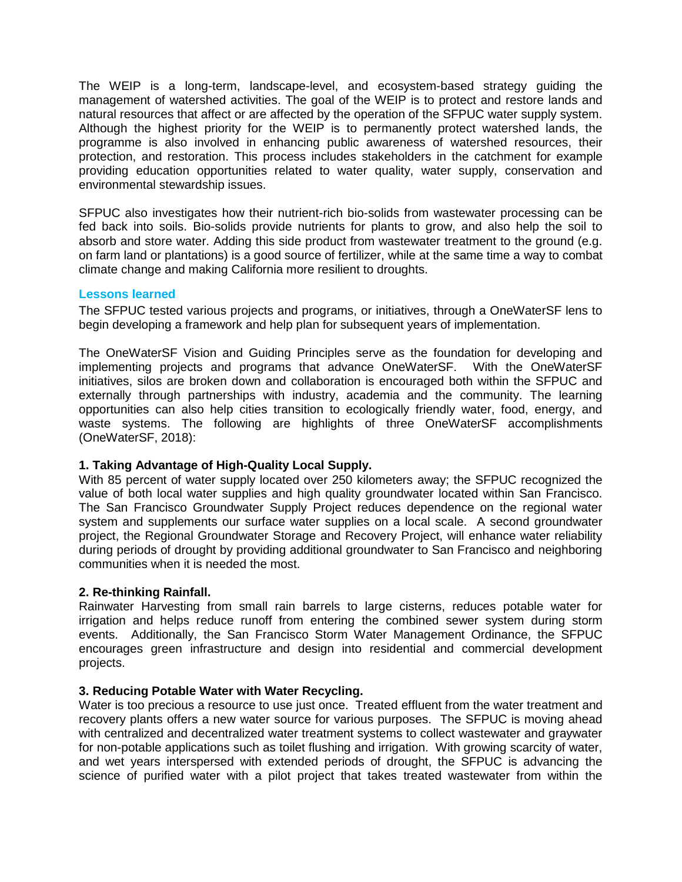The WEIP is a long-term, landscape-level, and ecosystem-based strategy guiding the management of watershed activities. The goal of the WEIP is to protect and restore lands and natural resources that affect or are affected by the operation of the SFPUC water supply system. Although the highest priority for the WEIP is to permanently protect watershed lands, the programme is also involved in enhancing public awareness of watershed resources, their protection, and restoration. This process includes stakeholders in the catchment for example providing education opportunities related to water quality, water supply, conservation and environmental stewardship issues.

SFPUC also investigates how their nutrient-rich bio-solids from wastewater processing can be fed back into soils. Bio-solids provide nutrients for plants to grow, and also help the soil to absorb and store water. Adding this side product from wastewater treatment to the ground (e.g. on farm land or plantations) is a good source of fertilizer, while at the same time a way to combat climate change and making California more resilient to droughts.

#### **Lessons learned**

The SFPUC tested various projects and programs, or initiatives, through a OneWaterSF lens to begin developing a framework and help plan for subsequent years of implementation.

The OneWaterSF Vision and Guiding Principles serve as the foundation for developing and implementing projects and programs that advance OneWaterSF. With the OneWaterSF initiatives, silos are broken down and collaboration is encouraged both within the SFPUC and externally through partnerships with industry, academia and the community. The learning opportunities can also help cities transition to ecologically friendly water, food, energy, and waste systems. The following are highlights of three OneWaterSF accomplishments (OneWaterSF, 2018):

#### **1. Taking Advantage of High-Quality Local Supply.**

With 85 percent of water supply located over 250 kilometers away; the SFPUC recognized the value of both local water supplies and high quality groundwater located within San Francisco. The San Francisco Groundwater Supply Project reduces dependence on the regional water system and supplements our surface water supplies on a local scale. A second groundwater project, the Regional Groundwater Storage and Recovery Project, will enhance water reliability during periods of drought by providing additional groundwater to San Francisco and neighboring communities when it is needed the most.

#### **2. Re-thinking Rainfall.**

Rainwater Harvesting from small rain barrels to large cisterns, reduces potable water for irrigation and helps reduce runoff from entering the combined sewer system during storm events. Additionally, the San Francisco Storm Water Management Ordinance, the SFPUC encourages green infrastructure and design into residential and commercial development projects.

#### **3. Reducing Potable Water with Water Recycling.**

Water is too precious a resource to use just once. Treated effluent from the water treatment and recovery plants offers a new water source for various purposes. The SFPUC is moving ahead with centralized and decentralized water treatment systems to collect wastewater and graywater for non-potable applications such as toilet flushing and irrigation. With growing scarcity of water, and wet years interspersed with extended periods of drought, the SFPUC is advancing the science of purified water with a pilot project that takes treated wastewater from within the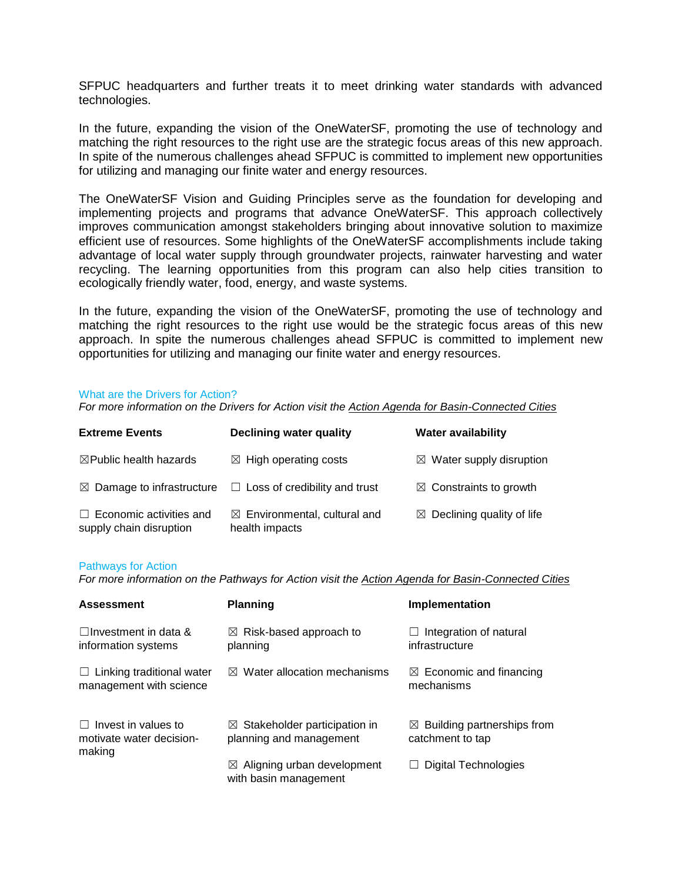SFPUC headquarters and further treats it to meet drinking water standards with advanced technologies.

In the future, expanding the vision of the OneWaterSF, promoting the use of technology and matching the right resources to the right use are the strategic focus areas of this new approach. In spite of the numerous challenges ahead SFPUC is committed to implement new opportunities for utilizing and managing our finite water and energy resources.

The OneWaterSF Vision and Guiding Principles serve as the foundation for developing and implementing projects and programs that advance OneWaterSF. This approach collectively improves communication amongst stakeholders bringing about innovative solution to maximize efficient use of resources. Some highlights of the OneWaterSF accomplishments include taking advantage of local water supply through groundwater projects, rainwater harvesting and water recycling. The learning opportunities from this program can also help cities transition to ecologically friendly water, food, energy, and waste systems.

In the future, expanding the vision of the OneWaterSF, promoting the use of technology and matching the right resources to the right use would be the strategic focus areas of this new approach. In spite the numerous challenges ahead SFPUC is committed to implement new opportunities for utilizing and managing our finite water and energy resources.

#### What are the Drivers for Action?

*For more information on the Drivers for Action visit the [Action Agenda for Basin-Connected Cities](file:///C:/Users/katharinec/Dropbox%20(IWAHQ)/SPA1/1.%20Basins%20of%20the%20Future/0.%20BoF%20programme/Basin%20stories/IWA%20has%20recently%20released%20the%20Action%20Agenda%20for%20Basin-Connected%20Cities%20which%20was%20launched%20at%20the%20IWA%20World%20Water%20Congress.%20The%20agenda%20builds%20on%20the%20Principles%20for%20Water%20Wise%20Cities,%20with%20a%20focus%20on%20how%20cities%20can%20be%20active%20water%20stewards%20in%20their%20wider%20water%20basins.%20To%20learn%20more%20visit%20-%20http:/www.iwa-network.org/press/the-action-agenda-for-basin-connected-cities/)*

| <b>Extreme Events</b>                                     | <b>Declining water quality</b>                            | <b>Water availability</b>             |
|-----------------------------------------------------------|-----------------------------------------------------------|---------------------------------------|
| $\boxtimes$ Public health hazards                         | $\boxtimes$ High operating costs                          | $\boxtimes$ Water supply disruption   |
| $\boxtimes$ Damage to infrastructure                      | $\Box$ Loss of credibility and trust                      | $\boxtimes$ Constraints to growth     |
| $\Box$ Economic activities and<br>supply chain disruption | $\boxtimes$ Environmental, cultural and<br>health impacts | $\boxtimes$ Declining quality of life |

#### Pathways for Action

*For more information on the Pathways for Action visit the [Action Agenda for Basin-Connected Cities](file:///C:/Users/katharinec/Dropbox%20(IWAHQ)/SPA1/1.%20Basins%20of%20the%20Future/0.%20BoF%20programme/Basin%20stories/IWA%20has%20recently%20released%20the%20Action%20Agenda%20for%20Basin-Connected%20Cities%20which%20was%20launched%20at%20the%20IWA%20World%20Water%20Congress.%20The%20agenda%20builds%20on%20the%20Principles%20for%20Water%20Wise%20Cities,%20with%20a%20focus%20on%20how%20cities%20can%20be%20active%20water%20stewards%20in%20their%20wider%20water%20basins.%20To%20learn%20more%20visit%20-%20http:/www.iwa-network.org/press/the-action-agenda-for-basin-connected-cities/)*

| <b>Assessment</b>                                                | <b>Planning</b>                                                     | Implementation                                             |
|------------------------------------------------------------------|---------------------------------------------------------------------|------------------------------------------------------------|
| $\Box$ Investment in data &<br>information systems               | $\boxtimes$ Risk-based approach to<br>planning                      | Integration of natural<br>infrastructure                   |
| $\Box$ Linking traditional water<br>management with science      | $\boxtimes$ Water allocation mechanisms                             | $\boxtimes$ Economic and financing<br>mechanisms           |
| $\Box$ Invest in values to<br>motivate water decision-<br>making | $\boxtimes$ Stakeholder participation in<br>planning and management | $\boxtimes$ Building partnerships from<br>catchment to tap |
|                                                                  | $\boxtimes$ Aligning urban development<br>with basin management     | Digital Technologies                                       |